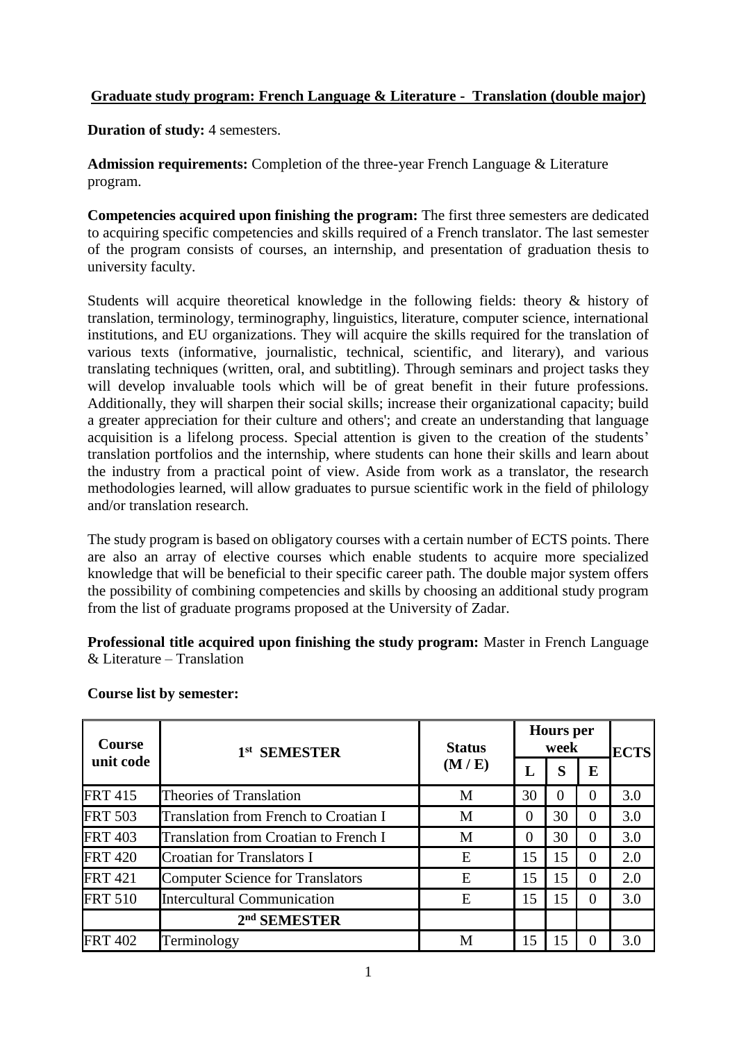## **Graduate study program: French Language & Literature - Translation (double major)**

**Duration of study:** 4 semesters.

**Admission requirements:** Completion of the three-year French Language & Literature program.

**Competencies acquired upon finishing the program:** The first three semesters are dedicated to acquiring specific competencies and skills required of a French translator. The last semester of the program consists of courses, an internship, and presentation of graduation thesis to university faculty.

Students will acquire theoretical knowledge in the following fields: theory & history of translation, terminology, terminography, linguistics, literature, computer science, international institutions, and EU organizations. They will acquire the skills required for the translation of various texts (informative, journalistic, technical, scientific, and literary), and various translating techniques (written, oral, and subtitling). Through seminars and project tasks they will develop invaluable tools which will be of great benefit in their future professions. Additionally, they will sharpen their social skills; increase their organizational capacity; build a greater appreciation for their culture and others'; and create an understanding that language acquisition is a lifelong process. Special attention is given to the creation of the students' translation portfolios and the internship, where students can hone their skills and learn about the industry from a practical point of view. Aside from work as a translator, the research methodologies learned, will allow graduates to pursue scientific work in the field of philology and/or translation research.

The study program is based on obligatory courses with a certain number of ECTS points. There are also an array of elective courses which enable students to acquire more specialized knowledge that will be beneficial to their specific career path. The double major system offers the possibility of combining competencies and skills by choosing an additional study program from the list of graduate programs proposed at the University of Zadar.

**Professional title acquired upon finishing the study program:** Master in French Language  $&$  Literature – Translation

| <b>Course</b><br>unit code | 1 <sup>st</sup> SEMESTER                     | <b>Status</b><br>(M/E) | <b>Hours</b> per<br>week |          |          | <b>ECTS</b> |
|----------------------------|----------------------------------------------|------------------------|--------------------------|----------|----------|-------------|
|                            |                                              |                        | L                        | S        | E        |             |
| <b>FRT 415</b>             | Theories of Translation                      | M                      | 30                       | $\Omega$ | 0        | 3.0         |
| <b>FRT 503</b>             | Translation from French to Croatian I        | M                      | 0                        | 30       | 0        | 3.0         |
| <b>FRT 403</b>             | <b>Translation from Croatian to French I</b> | M                      | $\theta$                 | 30       | 0        | 3.0         |
| <b>FRT 420</b>             | Croatian for Translators I                   | E                      | 15                       | 15       | 0        | 2.0         |
| <b>FRT</b> 421             | Computer Science for Translators             | E                      | 15                       | 15       | $\Omega$ | 2.0         |
| <b>FRT 510</b>             | Intercultural Communication                  | E                      | 15                       | 15       | 0        | 3.0         |
|                            | 2 <sup>nd</sup> SEMESTER                     |                        |                          |          |          |             |
| <b>FRT 402</b>             | Terminology                                  | M                      | 15                       | 15       |          | 3.0         |

## **Course list by semester:**